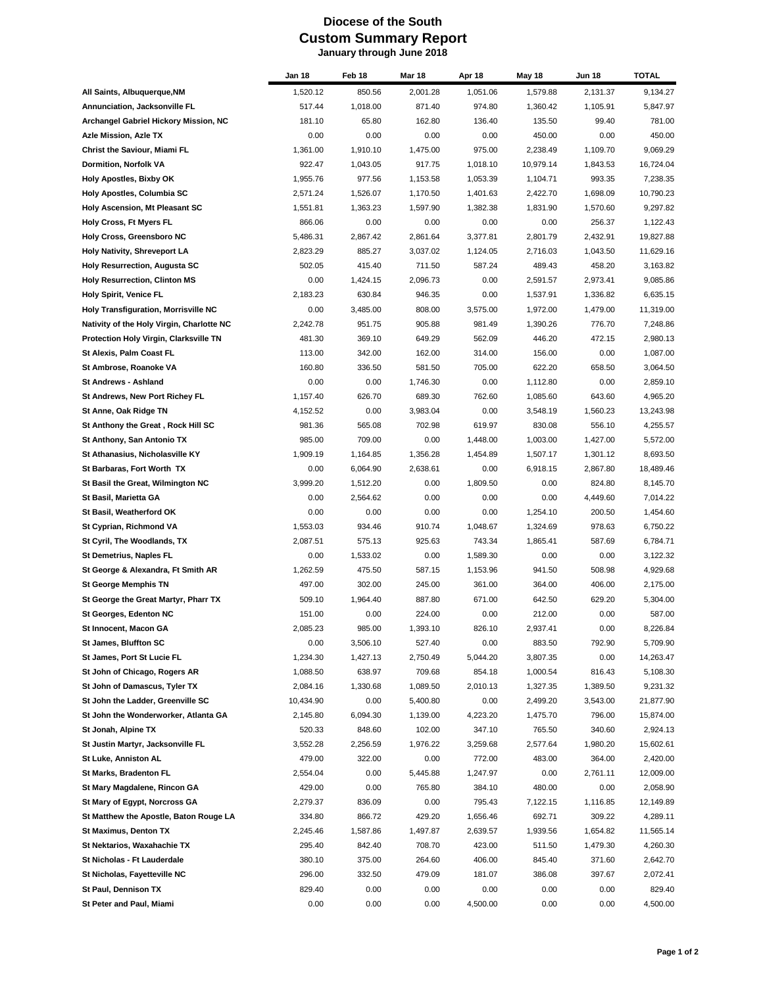## **Diocese of the South Custom Summary Report January through June 2018**

|                                               | Jan 18             | Feb 18   | <b>Mar 18</b> | Apr 18   | May 18    | <b>Jun 18</b> | <b>TOTAL</b> |
|-----------------------------------------------|--------------------|----------|---------------|----------|-----------|---------------|--------------|
| All Saints, Albuquerque, NM                   | 1,520.12           | 850.56   | 2,001.28      | 1,051.06 | 1,579.88  | 2,131.37      | 9,134.27     |
| Annunciation, Jacksonville FL                 | 517.44             | 1,018.00 | 871.40        | 974.80   | 1,360.42  | 1,105.91      | 5,847.97     |
| Archangel Gabriel Hickory Mission, NC         | 181.10             | 65.80    | 162.80        | 136.40   | 135.50    | 99.40         | 781.00       |
| Azle Mission, Azle TX                         | 0.00               | 0.00     | 0.00          | 0.00     | 450.00    | 0.00          | 450.00       |
| Christ the Saviour, Miami FL                  | 1,361.00           | 1,910.10 | 1,475.00      | 975.00   | 2,238.49  | 1,109.70      | 9,069.29     |
| Dormition, Norfolk VA                         | 922.47             | 1,043.05 | 917.75        | 1,018.10 | 10,979.14 | 1,843.53      | 16,724.04    |
| <b>Holy Apostles, Bixby OK</b>                | 1,955.76           | 977.56   | 1,153.58      | 1,053.39 | 1,104.71  | 993.35        | 7,238.35     |
| Holy Apostles, Columbia SC                    | 2,571.24           | 1,526.07 | 1,170.50      | 1,401.63 | 2,422.70  | 1,698.09      | 10,790.23    |
| Holy Ascension, Mt Pleasant SC                | 1,551.81           | 1,363.23 | 1,597.90      | 1,382.38 | 1,831.90  | 1,570.60      | 9,297.82     |
| Holy Cross, Ft Myers FL                       | 866.06             | 0.00     | 0.00          | 0.00     | 0.00      | 256.37        | 1,122.43     |
| <b>Holy Cross, Greensboro NC</b>              | 5,486.31           | 2,867.42 | 2,861.64      | 3,377.81 | 2,801.79  | 2,432.91      | 19,827.88    |
| Holy Nativity, Shreveport LA                  | 2,823.29           | 885.27   | 3,037.02      | 1,124.05 | 2,716.03  | 1,043.50      | 11,629.16    |
| <b>Holy Resurrection, Augusta SC</b>          | 502.05             | 415.40   | 711.50        | 587.24   | 489.43    | 458.20        | 3,163.82     |
| <b>Holy Resurrection, Clinton MS</b>          | 0.00               | 1,424.15 | 2,096.73      | 0.00     | 2,591.57  | 2,973.41      | 9,085.86     |
| <b>Holy Spirit, Venice FL</b>                 | 2,183.23           | 630.84   | 946.35        | 0.00     | 1,537.91  | 1,336.82      | 6,635.15     |
| <b>Holy Transfiguration, Morrisville NC</b>   | 0.00               | 3,485.00 | 808.00        | 3,575.00 | 1,972.00  | 1,479.00      | 11,319.00    |
| Nativity of the Holy Virgin, Charlotte NC     | 2,242.78           | 951.75   | 905.88        | 981.49   | 1,390.26  | 776.70        | 7,248.86     |
| <b>Protection Holy Virgin, Clarksville TN</b> | 481.30             | 369.10   | 649.29        | 562.09   | 446.20    | 472.15        | 2,980.13     |
| St Alexis, Palm Coast FL                      | 113.00             | 342.00   | 162.00        | 314.00   | 156.00    | 0.00          | 1,087.00     |
| St Ambrose, Roanoke VA                        | 160.80             | 336.50   | 581.50        | 705.00   | 622.20    | 658.50        | 3,064.50     |
| St Andrews - Ashland                          | 0.00               | 0.00     | 1,746.30      | 0.00     | 1,112.80  | 0.00          | 2,859.10     |
| St Andrews, New Port Richey FL                | 1,157.40           | 626.70   | 689.30        | 762.60   | 1,085.60  | 643.60        | 4,965.20     |
|                                               |                    | 0.00     | 3,983.04      | 0.00     | 3,548.19  | 1,560.23      | 13,243.98    |
| St Anne, Oak Ridge TN                         | 4,152.52<br>981.36 |          |               |          |           |               |              |
| St Anthony the Great, Rock Hill SC            |                    | 565.08   | 702.98        | 619.97   | 830.08    | 556.10        | 4,255.57     |
| St Anthony, San Antonio TX                    | 985.00             | 709.00   | 0.00          | 1,448.00 | 1,003.00  | 1,427.00      | 5,572.00     |
| St Athanasius, Nicholasville KY               | 1,909.19           | 1,164.85 | 1,356.28      | 1,454.89 | 1,507.17  | 1,301.12      | 8,693.50     |
| St Barbaras, Fort Worth TX                    | 0.00               | 6,064.90 | 2,638.61      | 0.00     | 6,918.15  | 2,867.80      | 18,489.46    |
| St Basil the Great, Wilmington NC             | 3,999.20           | 1,512.20 | 0.00          | 1,809.50 | 0.00      | 824.80        | 8,145.70     |
| St Basil, Marietta GA                         | 0.00               | 2,564.62 | 0.00          | 0.00     | 0.00      | 4,449.60      | 7,014.22     |
| St Basil, Weatherford OK                      | 0.00               | 0.00     | 0.00          | 0.00     | 1,254.10  | 200.50        | 1,454.60     |
| St Cyprian, Richmond VA                       | 1,553.03           | 934.46   | 910.74        | 1,048.67 | 1,324.69  | 978.63        | 6,750.22     |
| St Cyril, The Woodlands, TX                   | 2,087.51           | 575.13   | 925.63        | 743.34   | 1,865.41  | 587.69        | 6,784.71     |
| St Demetrius, Naples FL                       | 0.00               | 1,533.02 | 0.00          | 1.589.30 | 0.00      | 0.00          | 3,122.32     |
| St George & Alexandra, Ft Smith AR            | 1,262.59           | 475.50   | 587.15        | 1,153.96 | 941.50    | 508.98        | 4,929.68     |
| <b>St George Memphis TN</b>                   | 497.00             | 302.00   | 245.00        | 361.00   | 364.00    | 406.00        | 2,175.00     |
| St George the Great Martyr, Pharr TX          | 509.10             | 1,964.40 | 887.80        | 671.00   | 642.50    | 629.20        | 5,304.00     |
| St Georges, Edenton NC                        | 151.00             | 0.00     | 224.00        | 0.00     | 212.00    | 0.00          | 587.00       |
| St Innocent, Macon GA                         | 2,085.23           | 985.00   | 1,393.10      | 826.10   | 2,937.41  | 0.00          | 8,226.84     |
| St James, Bluffton SC                         | 0.00               | 3,506.10 | 527.40        | 0.00     | 883.50    | 792.90        | 5,709.90     |
| St James, Port St Lucie FL                    | 1,234.30           | 1,427.13 | 2,750.49      | 5,044.20 | 3,807.35  | 0.00          | 14,263.47    |
| St John of Chicago, Rogers AR                 | 1,088.50           | 638.97   | 709.68        | 854.18   | 1,000.54  | 816.43        | 5,108.30     |
| St John of Damascus, Tyler TX                 | 2,084.16           | 1,330.68 | 1,089.50      | 2,010.13 | 1,327.35  | 1,389.50      | 9,231.32     |
| St John the Ladder, Greenville SC             | 10,434.90          | 0.00     | 5,400.80      | 0.00     | 2,499.20  | 3,543.00      | 21,877.90    |
| St John the Wonderworker, Atlanta GA          | 2,145.80           | 6,094.30 | 1,139.00      | 4,223.20 | 1,475.70  | 796.00        | 15,874.00    |
| St Jonah, Alpine TX                           | 520.33             | 848.60   | 102.00        | 347.10   | 765.50    | 340.60        | 2,924.13     |
| St Justin Martyr, Jacksonville FL             | 3,552.28           | 2,256.59 | 1,976.22      | 3,259.68 | 2,577.64  | 1,980.20      | 15,602.61    |
| St Luke, Anniston AL                          | 479.00             | 322.00   | 0.00          | 772.00   | 483.00    | 364.00        | 2,420.00     |
| St Marks, Bradenton FL                        | 2,554.04           | 0.00     | 5,445.88      | 1,247.97 | 0.00      | 2,761.11      | 12,009.00    |
| St Mary Magdalene, Rincon GA                  | 429.00             | 0.00     | 765.80        | 384.10   | 480.00    | 0.00          | 2,058.90     |
| St Mary of Egypt, Norcross GA                 | 2,279.37           | 836.09   | 0.00          | 795.43   | 7,122.15  | 1,116.85      | 12,149.89    |
| St Matthew the Apostle, Baton Rouge LA        | 334.80             | 866.72   | 429.20        | 1,656.46 | 692.71    | 309.22        | 4,289.11     |
| St Maximus, Denton TX                         | 2,245.46           | 1,587.86 | 1,497.87      | 2,639.57 | 1,939.56  | 1,654.82      | 11,565.14    |
| St Nektarios, Waxahachie TX                   | 295.40             | 842.40   | 708.70        | 423.00   | 511.50    | 1,479.30      | 4,260.30     |
| St Nicholas - Ft Lauderdale                   | 380.10             | 375.00   | 264.60        | 406.00   | 845.40    | 371.60        | 2,642.70     |
| St Nicholas, Fayetteville NC                  | 296.00             | 332.50   | 479.09        | 181.07   | 386.08    | 397.67        | 2,072.41     |
| St Paul, Dennison TX                          | 829.40             | 0.00     | 0.00          | 0.00     | 0.00      | 0.00          | 829.40       |
| St Peter and Paul, Miami                      | 0.00               | 0.00     | 0.00          | 4,500.00 | 0.00      | 0.00          | 4,500.00     |